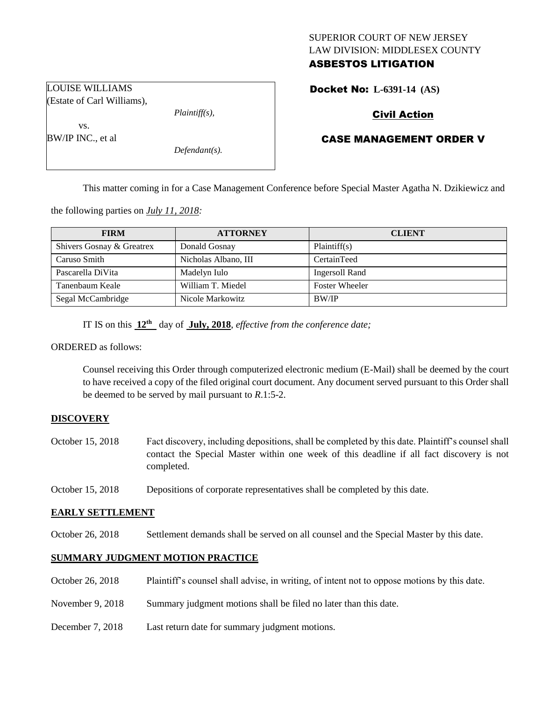# SUPERIOR COURT OF NEW JERSEY LAW DIVISION: MIDDLESEX COUNTY ASBESTOS LITIGATION

Docket No: **L-6391-14 (AS)** 

# Civil Action

# CASE MANAGEMENT ORDER V

This matter coming in for a Case Management Conference before Special Master Agatha N. Dzikiewicz and

the following parties on *July 11, 2018:*

| <b>FIRM</b>               | <b>ATTORNEY</b>      | <b>CLIENT</b>         |
|---------------------------|----------------------|-----------------------|
| Shivers Gosnay & Greatrex | Donald Gosnay        | Plaintiff(s)          |
| Caruso Smith              | Nicholas Albano, III | CertainTeed           |
| Pascarella DiVita         | Madelyn Iulo         | Ingersoll Rand        |
| Tanenbaum Keale           | William T. Miedel    | <b>Foster Wheeler</b> |
| Segal McCambridge         | Nicole Markowitz     | <b>BW/IP</b>          |

IT IS on this **12th** day of **July, 2018**, *effective from the conference date;*

ORDERED as follows:

Counsel receiving this Order through computerized electronic medium (E-Mail) shall be deemed by the court to have received a copy of the filed original court document. Any document served pursuant to this Order shall be deemed to be served by mail pursuant to *R*.1:5-2.

#### **DISCOVERY**

- October 15, 2018 Fact discovery, including depositions, shall be completed by this date. Plaintiff's counsel shall contact the Special Master within one week of this deadline if all fact discovery is not completed.
- October 15, 2018 Depositions of corporate representatives shall be completed by this date.

#### **EARLY SETTLEMENT**

October 26, 2018 Settlement demands shall be served on all counsel and the Special Master by this date.

## **SUMMARY JUDGMENT MOTION PRACTICE**

- October 26, 2018 Plaintiff's counsel shall advise, in writing, of intent not to oppose motions by this date.
- November 9, 2018 Summary judgment motions shall be filed no later than this date.
- December 7, 2018 Last return date for summary judgment motions.

LOUISE WILLIAMS (Estate of Carl Williams),

*Plaintiff(s),*

*Defendant(s).*

vs. BW/IP INC., et al